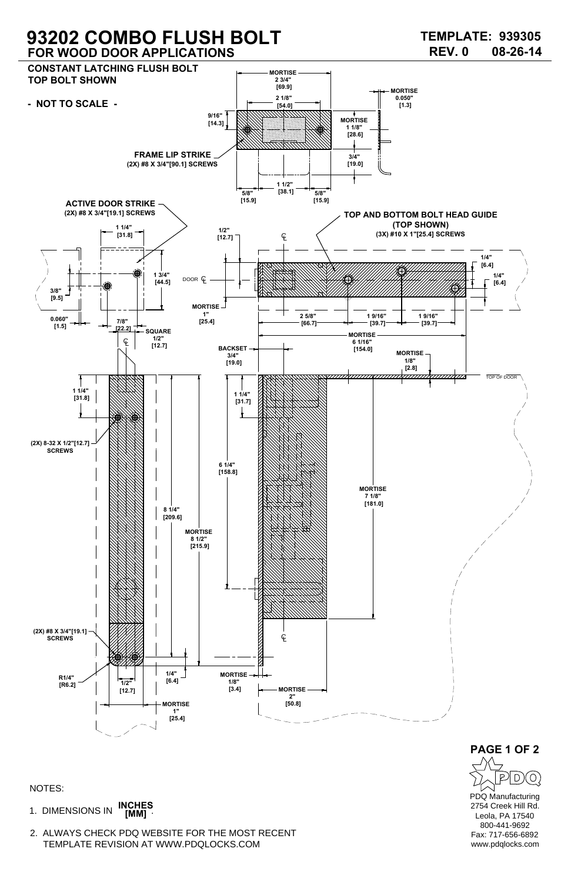1. DIMENSIONS IN **INCHES [MM]**

## **93202 COMBO FLUSH BOLT FOR WOOD DOOR APPLICATIONS**

NOTES:

2. ALWAYS CHECK PDQ WEBSITE FOR THE MOST RECENT TEMPLATE REVISION AT WWW.PDQLOCKS.COM



PDQ Manufacturing 2754 Creek Hill Rd. Leola, PA 17540 800-441-9692 Fax: 717-656-6892 www.pdqlocks.com **PAGE 1 OF 2**